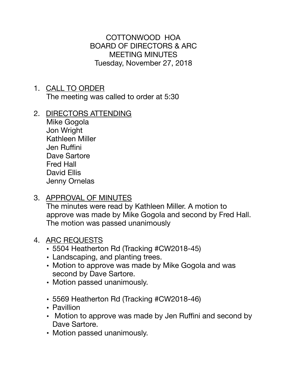COTTONWOOD HOA BOARD OF DIRECTORS & ARC MEETING MINUTES Tuesday, November 27, 2018

- 1. CALL TO ORDER The meeting was called to order at 5:30
- 2. DIRECTORS ATTENDING

Mike Gogola Jon Wright Kathleen Miller Jen Ruffini Dave Sartore Fred Hall David Ellis Jenny Ornelas

3. APPROVAL OF MINUTES

The minutes were read by Kathleen Miller. A motion to approve was made by Mike Gogola and second by Fred Hall. The motion was passed unanimously

## 4. ARC REQUESTS

- 5504 Heatherton Rd (Tracking #CW2018-45)
- Landscaping, and planting trees.
- Motion to approve was made by Mike Gogola and was second by Dave Sartore.
- Motion passed unanimously.
- 5569 Heatherton Rd (Tracking #CW2018-46)
- Pavillion
- Motion to approve was made by Jen Ruffini and second by Dave Sartore.
- Motion passed unanimously.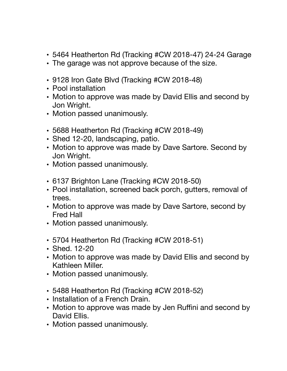- 5464 Heatherton Rd (Tracking #CW 2018-47) 24-24 Garage
- The garage was not approve because of the size.
- 9128 Iron Gate Blvd (Tracking #CW 2018-48)
- Pool installation
- Motion to approve was made by David Ellis and second by Jon Wright.
- Motion passed unanimously.
- 5688 Heatherton Rd (Tracking #CW 2018-49)
- Shed 12-20, landscaping, patio.
- Motion to approve was made by Dave Sartore. Second by Jon Wright.
- Motion passed unanimously.
- 6137 Brighton Lane (Tracking #CW 2018-50)
- Pool installation, screened back porch, gutters, removal of trees.
- Motion to approve was made by Dave Sartore, second by Fred Hall
- Motion passed unanimously.
- 5704 Heatherton Rd (Tracking #CW 2018-51)
- Shed. 12-20
- Motion to approve was made by David Ellis and second by Kathleen Miller.
- Motion passed unanimously.
- 5488 Heatherton Rd (Tracking #CW 2018-52)
- Installation of a French Drain.
- Motion to approve was made by Jen Ruffini and second by David Ellis.
- Motion passed unanimously.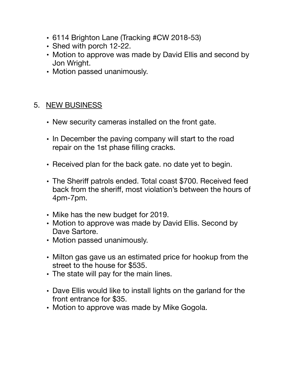- 6114 Brighton Lane (Tracking #CW 2018-53)
- Shed with porch 12-22.
- Motion to approve was made by David Ellis and second by Jon Wright.
- Motion passed unanimously.

## 5. NEW BUSINESS

- New security cameras installed on the front gate.
- In December the paving company will start to the road repair on the 1st phase filling cracks.
- Received plan for the back gate. no date yet to begin.
- The Sheriff patrols ended. Total coast \$700. Received feed back from the sheriff, most violation's between the hours of 4pm-7pm.
- Mike has the new budget for 2019.
- Motion to approve was made by David Ellis. Second by Dave Sartore.
- Motion passed unanimously.
- Milton gas gave us an estimated price for hookup from the street to the house for \$535.
- The state will pay for the main lines.
- Dave Ellis would like to install lights on the garland for the front entrance for \$35.
- Motion to approve was made by Mike Gogola.